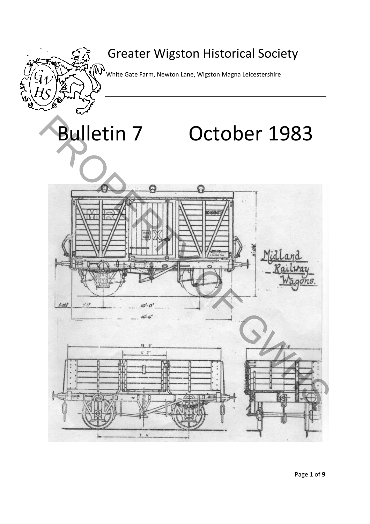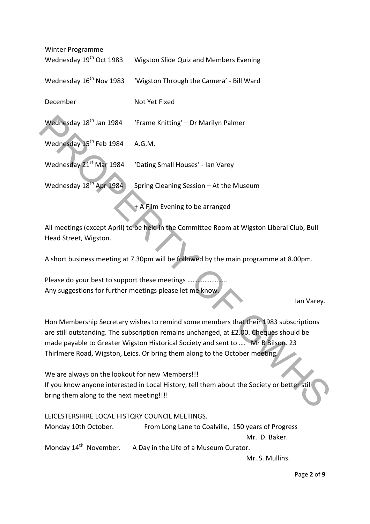| Winter Programme                                                                                                                                                                                                                                                                                                                                 |                                          |
|--------------------------------------------------------------------------------------------------------------------------------------------------------------------------------------------------------------------------------------------------------------------------------------------------------------------------------------------------|------------------------------------------|
| Wednesday 19 <sup>th</sup> Oct 1983                                                                                                                                                                                                                                                                                                              | Wigston Slide Quiz and Members Evening   |
| Wednesday 16 <sup>th</sup> Nov 1983                                                                                                                                                                                                                                                                                                              | 'Wigston Through the Camera' - Bill Ward |
| December                                                                                                                                                                                                                                                                                                                                         | Not Yet Fixed                            |
| Wednesday 18 <sup>th</sup> Jan 1984                                                                                                                                                                                                                                                                                                              | 'Frame Knitting' - Dr Marilyn Palmer     |
| Wednesday 15 <sup>th</sup> Feb 1984                                                                                                                                                                                                                                                                                                              | A.G.M.                                   |
| Wednesday 21 <sup>st</sup> Mar 1984                                                                                                                                                                                                                                                                                                              | 'Dating Small Houses' - Ian Varey        |
| Wednesday 18 <sup>th</sup> Apr 1984                                                                                                                                                                                                                                                                                                              | Spring Cleaning Session - At the Museum  |
| + A Film Evening to be arranged                                                                                                                                                                                                                                                                                                                  |                                          |
| All meetings (except April) to be held in the Committee Room at Wigston Liberal Club, Bull<br>Head Street, Wigston.                                                                                                                                                                                                                              |                                          |
| A short business meeting at 7.30pm will be followed by the main programme at 8.00pm.                                                                                                                                                                                                                                                             |                                          |
| Please do your best to support these meetings<br>Any suggestions for further meetings please let me know.                                                                                                                                                                                                                                        |                                          |
|                                                                                                                                                                                                                                                                                                                                                  | lan Varey.                               |
| Hon Membership Secretary wishes to remind some members that their 1983 subscriptions<br>are still outstanding. The subscription remains unchanged, at £2.00. Cheques should be<br>made payable to Greater Wigston Historical Society and sent to  Mr B Bilson. 23<br>Thirlmere Road, Wigston, Leics. Or bring them along to the October meeting. |                                          |
| We are always on the lookout for new Members!!!<br>If you know anyone interested in Local History, tell them about the Society or better still<br>bring them along to the next meeting!!!!                                                                                                                                                       |                                          |

LEICESTERSHIRE LOCAL HISTQRY COUNCIL MEETINGS. Monday 10th October. From Long Lane to Coalville, 150 years of Progress Mr. D. Baker. Monday  $14<sup>th</sup>$  November. A Day in the Life of a Museum Curator.

Mr. S. Mullins.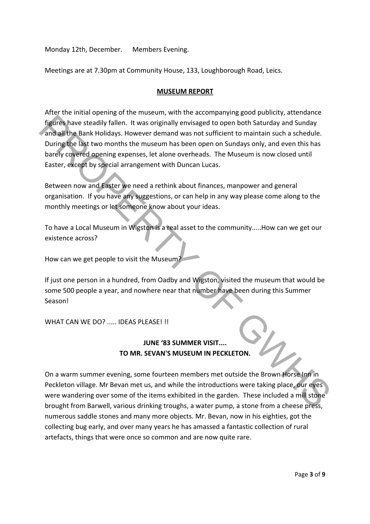Monday 12th, December. Members Evening.

Meetings are at 7.30pm at Community House, 133, Loughborough Road, Leics.

## **MUSEUM REPORT**

After the initial opening of the museum, with the accompanying good publicity, attendance figures have steadily fallen. It was originally envisaged to open both Saturday and Sunday and all the Bank Holidays. However demand was not sufficient to maintain such a schedule. During the last two months the museum has been open on Sundays only, and even this has barely covered opening expenses, let alone overheads. The Museum is now closed until Easter, except by special arrangement with Duncan Lucas. Theories have steadily fallen. It was originally envisaged to open both Saturday and Sunday<br>
and all the Bank Holidays. However demand was not sufficient to maintain such as chedule.<br>
and all the Bank Holidays. However dem

Between now and Easter we need a rethink about finances, manpower and general organisation. If you have any suggestions, or can help in any way please come along to the monthly meetings or let someone know about your ideas.

To have a Local Museum in Wigston is a real asset to the community.....How can we get our existence across?

How can we get people to visit the Museum?

If just one person in a hundred, from Oadby and Wigston, visited the museum that would be some 500 people a year, and nowhere near that number have been during this Summer Season!

WHAT CAN WE DO? ..... IDFAS PLFASF! !!

## **JUNE '83 SUMMER VISIT.... TO MR. SEVAN'S MUSEUM IN PECKLETON.**

On a warm summer evening, some fourteen members met outside the Brown Horse Inn in Peckleton village. Mr Bevan met us, and while the introductions were taking place, our eyes were wandering over some of the items exhibited in the garden. These included a mill stone brought from Barwell, various drinking troughs, a water pump, a stone from a cheese press, numerous saddle stones and many more objects. Mr. Bevan, now in his eighties, got the collecting bug early, and over many years he has amassed a fantastic collection of rural artefacts, things that were once so common and are now quite rare.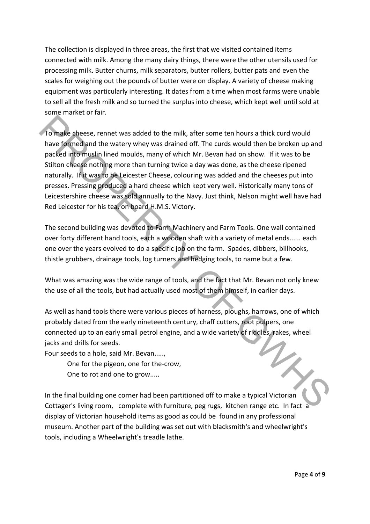The collection is displayed in three areas, the first that we visited contained items connected with milk. Among the many dairy things, there were the other utensils used for processing milk. Butter churns, milk separators, butter rollers, butter pats and even the scales for weighing out the pounds of butter were on display. A variety of cheese making equipment was particularly interesting. It dates from a time when most farms were unable to sell all the fresh milk and so turned the surplus into cheese, which kept well until sold at some market or fair.

To make cheese, rennet was added to the milk, after some ten hours a thick curd would have formed and the watery whey was drained off. The curds would then be broken up and packed into muslin lined moulds, many of which Mr. Bevan had on show. If it was to be Stilton cheese nothing more than turning twice a day was done, as the cheese ripened naturally. If it was to be Leicester Cheese, colouring was added and the cheeses put into presses. Pressing produced a hard cheese which kept very well. Historically many tons of Leicestershire cheese was sold annually to the Navy. Just think, Nelson might well have had Red Leicester for his tea, on board H.M.S. Victory. To make cheese, rennet was added to the milk, after some ten hours a thick curd would<br>Towe formed and the watery whey was drained off. The curds would then be broken up and<br>packed informusiin lined moulds, many of which Mr

The second building was devoted to Farm Machinery and Farm Tools. One wall contained over forty different hand tools, each a wooden shaft with a variety of metal ends...... each one over the years evolved to do a specific job on the farm. Spades, dibbers, billhooks, thistle grubbers, drainage tools, log turners and hedging tools, to name but a few.

What was amazing was the wide range of tools, and the fact that Mr. Bevan not only knew the use of all the tools, but had actually used most of them himself, in earlier days.

As well as hand tools there were various pieces of harness, ploughs, harrows, one of which probably dated from the early nineteenth century, chaff cutters, root pulpers, one connected up to an early small petrol engine, and a wide variety of riddles, rakes, wheel jacks and drills for seeds.

Four seeds to a hole, said Mr. Bevan.....,

One for the pigeon, one for the‐crow,

One to rot and one to grow.....

In the final building one corner had been partitioned off to make a typical Victorian Cottager's living room, complete with furniture, peg rugs, kitchen range etc. In fact a display of Victorian household items as good as could be found in any professional museum. Another part of the building was set out with blacksmith's and wheelwright's tools, including a Wheelwright's treadle lathe.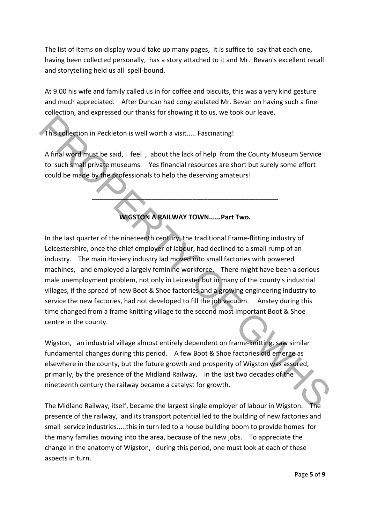The list of items on display would take up many pages, it is suffice to say that each one, having been collected personally, has a story attached to it and Mr. Bevan's excellent recall and storytelling held us all spell‐bound.

At 9.00 his wife and family called us in for coffee and biscuits, this was a very kind gesture and much appreciated. After Duncan had congratulated Mr. Bevan on having such a fine collection, and expressed our thanks for showing it to us, we took our leave.

This collection in Peckleton is well worth a visit..... Fascinating!

A final word must be said, I feel , about the lack of help from the County Museum Service to such small private museums. Yes financial resources are short but surely some effort could be made by the professionals to help the deserving amateurs!

**WIGSTON A RAILWAY TOWN......Part Two.**

\_\_\_\_\_\_\_\_\_\_\_\_\_\_\_\_\_\_\_\_\_\_\_\_\_\_\_\_\_\_\_\_\_\_\_\_\_\_\_\_\_\_\_\_\_\_\_\_\_\_

In the last quarter of the nineteenth century, the traditional Frame‐flitting industry of Leicestershire, once the chief employer of labour, had declined to a small rump of an industry. The main Hosiery industry lad moved into small factories with powered machines, and employed a largely feminine workforce. There might have been a serious male unemployment problem, not only in Leicester but in many of the county's industrial villages, if the spread of new Boot & Shoe factories and a growing engineering Industry to service the new factories, had not developed to fill the job vacuum. Anstey during this time changed from a frame knitting village to the second most important Boot & Shoe centre in the county. This collection in Peckleton is well worth a visit..... Fascinating!<br>
A final word must be said, I feel, about the lack of help from the County Museum Service<br>
to such small private museums. Yes financial resources are sho

Wigston, an industrial village almost entirely dependent on frame-knitting, saw similar fundamental changes during this period. A few Boot & Shoe factories did emerge as elsewhere in the county, but the future growth and prosperity of Wigston was assured, primarily, by the presence of the Midland Railway, in the last two decades of the nineteenth century the railway became a catalyst for growth.

The Midland Railway, itself, became the largest single employer of labour in Wigston. presence of the railway, and its transport potential led to the building of new factories and small service industries.....this in turn led to a house building boom to provide homes for the many families moving into the area, because of the new jobs. To appreciate the change in the anatomy of Wigston, during this period, one must look at each of these aspects in turn.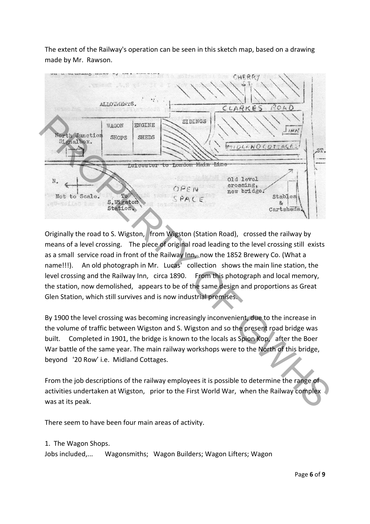The extent of the Railway's operation can be seen in this sketch map, based on a drawing made by Mr. Rawson.



Originally the road to S. Wigston, from Wigston (Station Road), crossed the railway by means of a level crossing. The piece of original road leading to the level crossing still exists as a small service road in front of the Railway Inn, now the 1852 Brewery Co. (What a name!!!). An old photograph in Mr. Lucas' collection shows the main line station, the level crossing and the Railway Inn, circa 1890. From this photograph and local memory, the station, now demolished, appears to be of the same design and proportions as Great Glen Station, which still survives and is now industrial premises.

By 1900 the level crossing was becoming increasingly inconvenient, due to the increase in the volume of traffic between Wigston and S. Wigston and so the present road bridge was built. Completed in 1901, the bridge is known to the locals as Spion Kop, after the Boer War battle of the same year. The main railway workshops were to the North of this bridge, beyond '20 Row' i.e. Midland Cottages.

From the job descriptions of the railway employees it is possible to determine the range of activities undertaken at Wigston, prior to the First World War, when the Railway complex was at its peak.

There seem to have been four main areas of activity.

## 1. The Wagon Shops.

Jobs included,... Wagonsmiths; Wagon Builders; Wagon Lifters; Wagon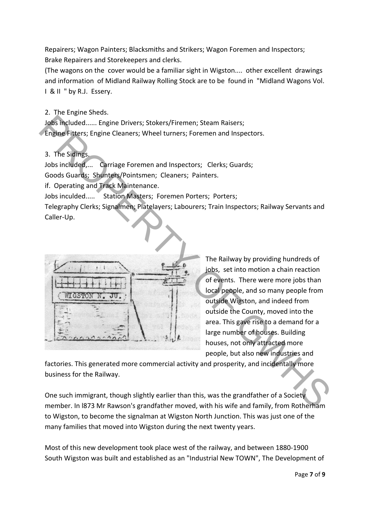Repairers; Wagon Painters; Blacksmiths and Strikers; Wagon Foremen and Inspectors; Brake Repairers and Storekeepers and clerks.

(The wagons on the cover would be a familiar sight in Wigston.... other excellent drawings and information of Midland Railway Rolling Stock are to be found in "Midland Wagons Vol. I & II " by R.J. Essery.

2. The Engine Sheds.

Jobs included...... Engine Drivers; Stokers/Firemen; Steam Raisers; Engine Fitters; Engine Cleaners; Wheel turners; Foremen and Inspectors.

3. The Sidings.

Jobs included,... Carriage Foremen and Inspectors; Clerks; Guards;

Goods Guards; Shunters/Pointsmen; Cleaners; Painters.

if. Operating and Track Maintenance.

Jobs inculded..... Station Masters; Foremen Porters; Porters;

Telegraphy Clerks; Signalmen; Platelayers; Labourers; Train Inspectors; Railway Servants and Caller‐Up.



The Railway by providing hundreds of jobs, set into motion a chain reaction of events. There were more jobs than local people, and so many people from outside Wigston, and indeed from outside the County, moved into the area. This gave rise to a demand for a large number of houses. Building houses, not only attracted more people, but also new industries and

factories. This generated more commercial activity and prosperity, and incidentally more business for the Railway.

One such immigrant, though slightly earlier than this, was the grandfather of a Society member. In l873 Mr Rawson's grandfather moved, with his wife and family, from Rotherham to Wigston, to become the signalman at Wigston North Junction. This was just one of the many families that moved into Wigston during the next twenty years.

Most of this new development took place west of the railway, and between 1880‐1900 South Wigston was built and established as an "Industrial New TOWN", The Development of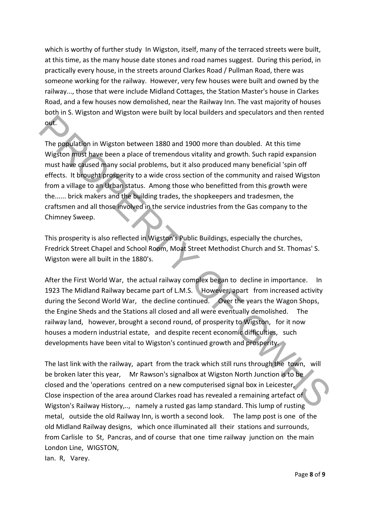which is worthy of further study In Wigston, itself, many of the terraced streets were built, at this time, as the many house date stones and road names suggest. During this period, in practically every house, in the streets around Clarkes Road / Pullman Road, there was someone working for the railway. However, very few houses were built and owned by the railway..., those that were include Midland Cottages, the Station Master's house in Clarkes Road, and a few houses now demolished, near the Railway Inn. The vast majority of houses both in S. Wigston and Wigston were built by local builders and speculators and then rented out.

The population in Wigston between 1880 and 1900 more than doubled. At this time Wigston must have been a place of tremendous vitality and growth. Such rapid expansion must have caused many social problems, but it also produced many beneficial 'spin off effects. It brought prosperity to a wide cross section of the community and raised Wigston from a village to an Urban status. Among those who benefitted from this growth were the...... brick makers and the building trades, the shopkeepers and tradesmen, the craftsmen and all those involved in the service industries from the Gas company to the Chimney Sweep. out.<br>
The population in Wigston between 1880 and 1900 more than doubled. At this time<br>
Wigston must have been a place of tremendous vitality and growth. Such rapid expansion<br>
must have caused many social problems, but it a

This prosperity is also reflected in Wigston's Public Buildings, especially the churches, Fredrick Street Chapel and School Room, Moat Street Methodist Church and St. Thomas' S. Wigston were all built in the 1880's.

After the First World War, the actual railway complex began to decline in importance. In 1923 The Midland Railway became part of L.M.S. However, apart from increased activity during the Second World War, the decline continued. Over the years the Wagon Shops, the Engine Sheds and the Stations all closed and all were eventually demolished. The railway land, however, brought a second round, of prosperity to Wigston, for it now houses a modern industrial estate, and despite recent economic difficulties, such developments have been vital to Wigston's continued growth and prosperity.

The last link with the railway, apart from the track which still runs through the town, will be broken later this year, Mr Rawson's signalbox at Wigston North Junction is to be closed and the 'operations centred on a new computerised signal box in Leicester, Close inspection of the area around Clarkes road has revealed a remaining artefact of Wigston's Railway History,.., namely a rusted gas lamp standard. This lump of rusting metal, outside the old Railway Inn, is worth a second look. The lamp post is one of the old Midland Railway designs, which once illuminated all their stations and surrounds, from Carlisle to St, Pancras, and of course that one time railway junction on the main London Line, WIGSTON,

lan. R, Varey.